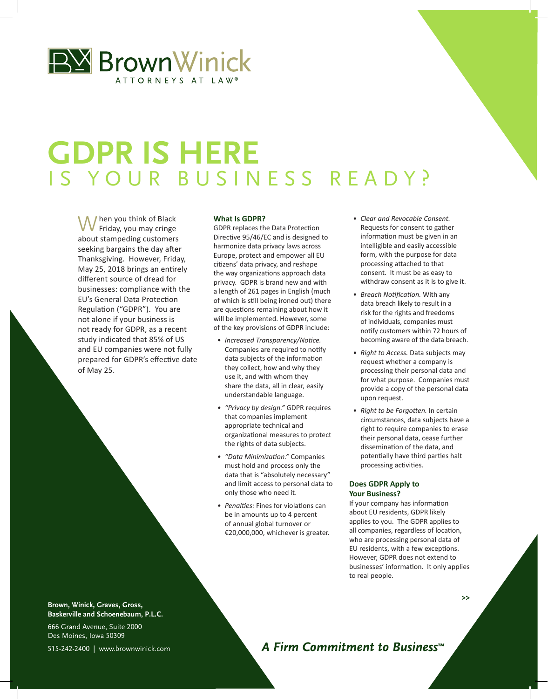

# **GDPR IS HERE** IS YOUR BUSINESS READY?

I hen you think of Black Friday, you may cringe about stampeding customers seeking bargains the day after Thanksgiving. However, Friday, May 25, 2018 brings an entirely different source of dread for businesses: compliance with the EU's General Data Protection Regulation ("GDPR"). You are not alone if your business is not ready for GDPR, as a recent study indicated that 85% of US and EU companies were not fully prepared for GDPR's effective date of May 25.

#### **What Is GDPR?**

GDPR replaces the Data Protection Directive 95/46/EC and is designed to harmonize data privacy laws across Europe, protect and empower all EU citizens' data privacy, and reshape the way organizations approach data privacy. GDPR is brand new and with a length of 261 pages in English (much of which is still being ironed out) there are questions remaining about how it will be implemented. However, some of the key provisions of GDPR include:

- *• Increased Transparency/Notice.*  Companies are required to notify data subjects of the information they collect, how and why they use it, and with whom they share the data, all in clear, easily understandable language.
- *• "Privacy by design."* GDPR requires that companies implement appropriate technical and organizational measures to protect the rights of data subjects.
- *• "Data Minimization."* Companies must hold and process only the data that is "absolutely necessary" and limit access to personal data to only those who need it.
- *• Penalties:* Fines for violations can be in amounts up to 4 percent of annual global turnover or €20,000,000, whichever is greater.
- *• Clear and Revocable Consent.*  Requests for consent to gather information must be given in an intelligible and easily accessible form, with the purpose for data processing attached to that consent. It must be as easy to withdraw consent as it is to give it.
- *• Breach Notification.* With any data breach likely to result in a risk for the rights and freedoms of individuals, companies must notify customers within 72 hours of becoming aware of the data breach.
- *• Right to Access.* Data subjects may request whether a company is processing their personal data and for what purpose. Companies must provide a copy of the personal data upon request.
- *• Right to be Forgotten.* In certain circumstances, data subjects have a right to require companies to erase their personal data, cease further dissemination of the data, and potentially have third parties halt processing activities.

### **Does GDPR Apply to Your Business?**

If your company has information about EU residents, GDPR likely applies to you. The GDPR applies to all companies, regardless of location, who are processing personal data of EU residents, with a few exceptions. However, GDPR does not extend to businesses' information. It only applies to real people.

**>>**

**Brown, Winick, Graves, Gross, Baskerville and Schoenebaum, P.L.C.**

666 Grand Avenue, Suite 2000 Des Moines, Iowa 50309 515-242-2400 | www.brownwinick.com

A Firm Commitment to Business<sup>™</sup>